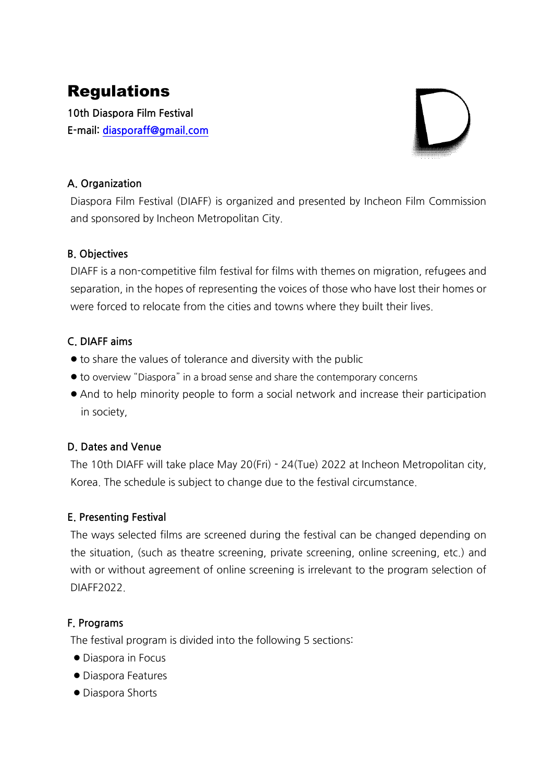# Regulations

**10th Diaspora Film Festival E-mail:diasporaff@gmail.com**

# **A.Organization**

Diaspora Film Festival (DIAFF) is organized and presented by Incheon Film Commission and sponsored by Incheon Metropolitan City.

# **B.Objectives**

DIAFF is a non-competitive film festival for films with themes on migration, refugees and separation, in the hopes of representing the voices of those who have lost their homes or were forced to relocate from the cities and towns where they built their lives.

# **C.DIAFFaims**

- $\bullet$  to share the values of tolerance and diversity with the public
- $\bullet$  to overview "Diaspora" in a broad sense and share the contemporary concerns
- And to help minority people to form a social network and increase their participation in society.

# **D.DatesandVenue**

The 10th DIAFF will take place May 20(Fri) - 24(Tue) 2022 at Incheon Metropolitan city, Korea. The schedule is subject to change due to the festival circumstance.

### **E. Presenting Festival**

The ways selected films are screened during the festival can be changed depending on the situation, (such as theatre screening, private screening, online screening, etc.) and with or without agreement of online screening is irrelevant to the program selection of DIAFF2022.

### **F.Programs**

The festival program is divided into the following 5 sections:

- Diaspora in Focus
- Diaspora Features
- Diaspora Shorts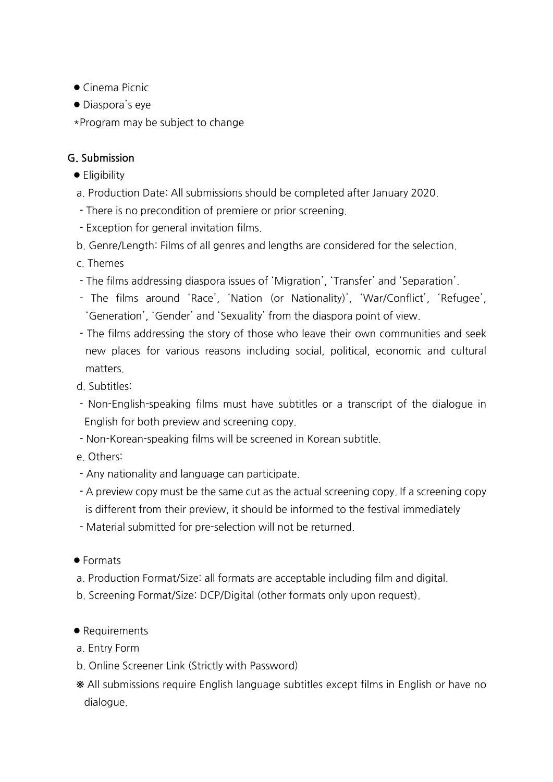- $\bullet$  Cinema Picnic
- $\bullet$  Diaspora's eye
- \*Program may be subject to change

# **G.Submission**

- $\bullet$  Eligibility
- a. Production Date: All submissions should be completed after January 2020.
- There is no precondition of premiere or prior screening.
- Exception for general invitation films.
- b. Genre/Length: Films of all genres and lengths are considered for the selection.
- c.Themes
- The films addressing diaspora issues of 'Migration', 'Transfer' and 'Separation'.
- The films around 'Race', 'Nation (or Nationality)', 'War/Conflict', 'Refugee', 'Generation', 'Gender' and 'Sexuality' from the diaspora point of view.
- The films addressing the story of those who leave their own communities and seek new places for various reasons including social, political, economic and cultural matters.
- d.Subtitles:
- Non-English-speaking films must have subtitles or a transcript of the dialogue in English for both preview and screening copy.
- Non-Korean-speaking films will be screened in Korean subtitle.
- e.Others:
- Any nationality and language can participate.
- A preview copy must be the same cut as the actual screening copy. If a screening copy is different from their preview, it should be informed to the festival immediately
- Material submitted for pre-selection will not be returned.
- Formats
- a. Production Format/Size: all formats are acceptable including film and digital.
- b. Screening Format/Size: DCP/Digital (other formats only upon request).
- Requirements
- a. Entry Form
- b. Online Screener Link (Strictly with Password)
- \* All submissions require English language subtitles except films in English or have no dialogue.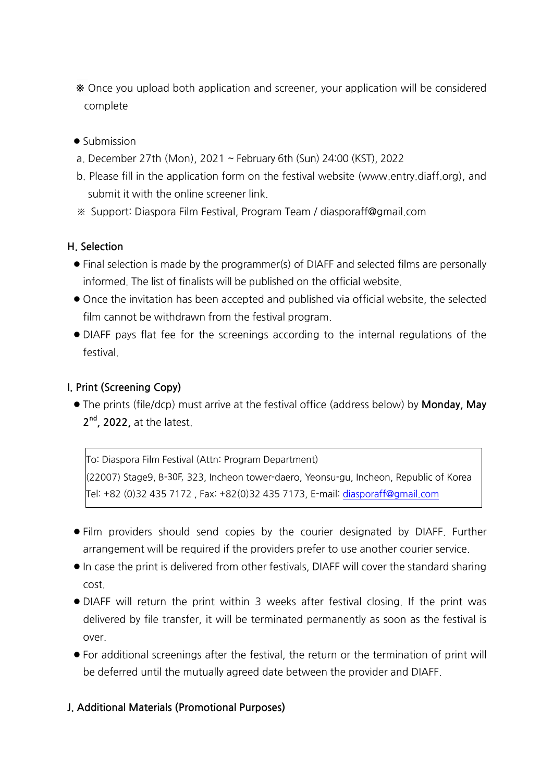- \* Once you upload both application and screener, your application will be considered complete
- $\bullet$  Submission
- a.December 27th (Mon),2021 ~February6th(Sun) 24:00(KST),2022
- b. Please fill in the application form on the festival website (www.entry.diaff.org), and submit it with the online screener link.
- ※ Support:DiasporaFilmFestival,ProgramTeam/diasporaff@gmail.com

### **H.Selection**

- Final selection is made by the programmer(s) of DIAFF and selected films are personally informed. The list of finalists will be published on the official website.
- Once the invitation has been accepted and published via official website, the selected film cannot be withdrawn from the festival program.
- l DIAFF pays flat fee for the screenings according to the internal regulations of the festival.

## **I.Print(ScreeningCopy)**

• The prints (file/dcp) must arrive at the festival office (address below) by **Monday, May** 2<sup>nd</sup>, 2022, at the latest.

To: Diaspora Film Festival (Attn: Program Department) (22007) Stage9, B-30F, 323, Incheon tower-daero, Yeonsu-gu, Incheon, Republic of Korea Tel:+82(0)324357172,Fax:+82(0)324357173,E-mail:diasporaff@gmail.com

- l Film providers should send copies by the courier designated by DIAFF. Further arrangement will be required if the providers prefer to use another courier service.
- In case the print is delivered from other festivals, DIAFF will cover the standard sharing cost.
- DIAFF will return the print within 3 weeks after festival closing. If the print was delivered by file transfer, it will be terminated permanently as soon as the festival is over.
- For additional screenings after the festival, the return or the termination of print will be deferred until the mutually agreed date between the provider and DIAFF.

### **J. Additional Materials (Promotional Purposes)**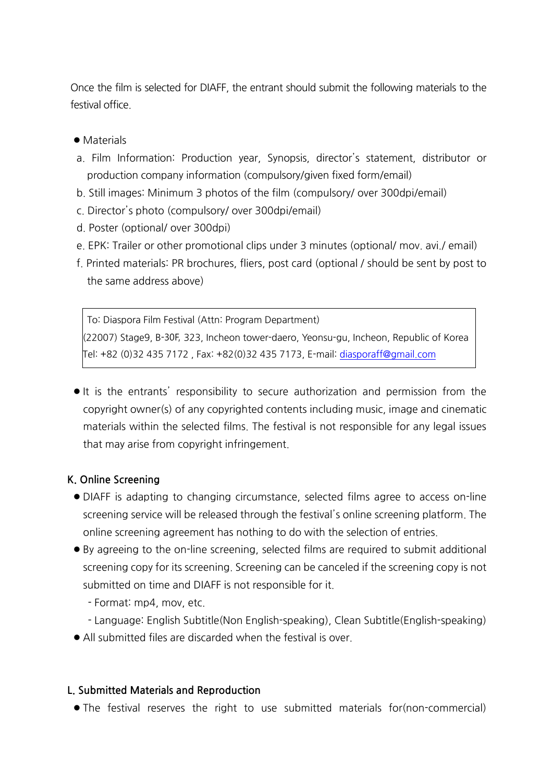Once the film is selected for DIAFF, the entrant should submit the following materials to the festival office.

#### • Materials

- a. Film Information: Production year, Synopsis, director's statement, distributor or production company information (compulsory/given fixed form/email)
- b. Still images: Minimum 3 photos of the film (compulsory/over 300dpi/email)
- c.Director'sphoto (compulsory/over300dpi/email)
- d.Poster (optional/over300dpi)
- e. EPK: Trailer or other promotional clips under 3 minutes (optional/ mov. avi./ email)
- f. Printed materials: PR brochures, fliers, post card (optional / should be sent by post to the same address above)

To: Diaspora Film Festival (Attn: Program Department) (22007) Stage9, B-30F, 323, Incheon tower-daero, Yeonsu-gu, Incheon, Republic of Korea Tel:+82(0)324357172,Fax:+82(0)324357173,E-mail:diasporaff@gmail.com

It is the entrants' responsibility to secure authorization and permission from the copyright owner(s) of any copyrighted contents including music, image and cinematic materials within the selected films. The festival is not responsible for any legal issues that may arise from copyright infringement.

### **K.OnlineScreening**

- l DIAFF is adapting to changing circumstance, selected films agree to access on-line screening service will be released through the festival's online screening platform. The online screening agreement has nothing to do with the selection of entries.
- By agreeing to the on-line screening, selected films are required to submit additional screening copy for its screening. Screening can be canceled if the screening copy is not submitted on time and DIAFF is not responsible for it.
	- Format: mp4, mov, etc.
	- Language: English Subtitle(Non English-speaking), Clean Subtitle(English-speaking)
- $\bullet$  All submitted files are discarded when the festival is over.

### **L. Submitted Materials and Reproduction**

• The festival reserves the right to use submitted materials for(non-commercial)